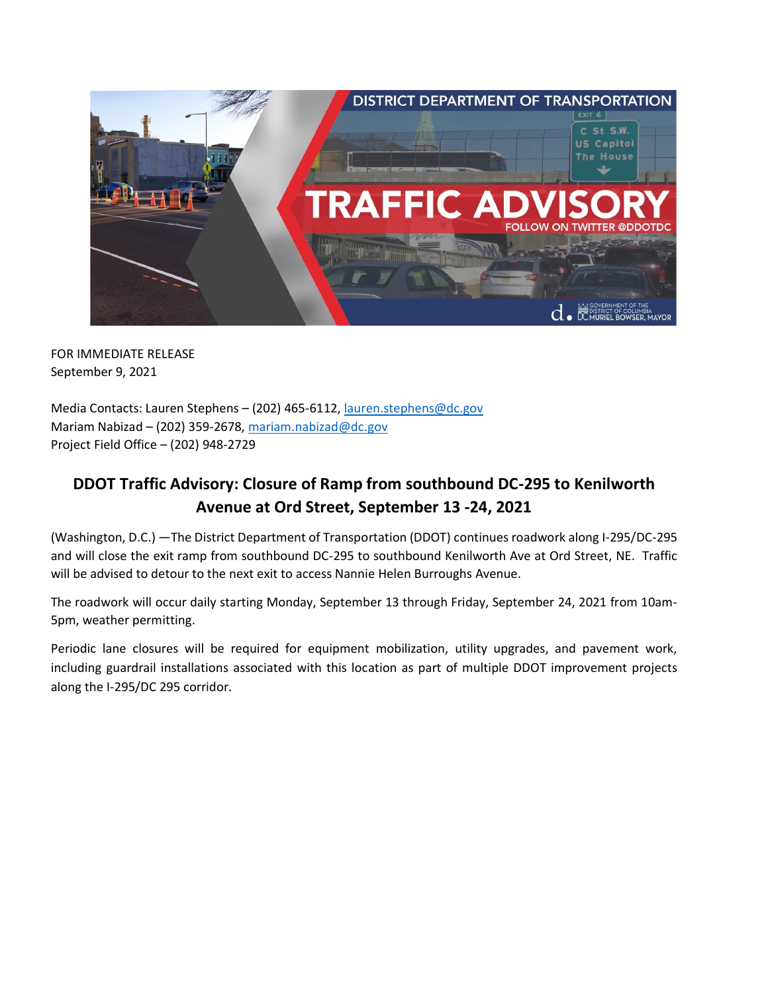

FOR IMMEDIATE RELEASE September 9, 2021

Media Contacts: Lauren Stephens – (202) 465-6112, [lauren.stephens@dc.gov](mailto:lauren.stephens@dc.gov) Mariam Nabizad – (202) 359-2678, [mariam.nabizad@dc.gov](mailto:mariam.nabizad@dc.gov) Project Field Office – (202) 948-2729

## **DDOT Traffic Advisory: Closure of Ramp from southbound DC-295 to Kenilworth Avenue at Ord Street, September 13 -24, 2021**

(Washington, D.C.) —The District Department of Transportation (DDOT) continues roadwork along I-295/DC-295 and will close the exit ramp from southbound DC-295 to southbound Kenilworth Ave at Ord Street, NE. Traffic will be advised to detour to the next exit to access Nannie Helen Burroughs Avenue.

The roadwork will occur daily starting Monday, September 13 through Friday, September 24, 2021 from 10am-5pm, weather permitting.

Periodic lane closures will be required for equipment mobilization, utility upgrades, and pavement work, including guardrail installations associated with this location as part of multiple DDOT improvement projects along the I-295/DC 295 corridor.